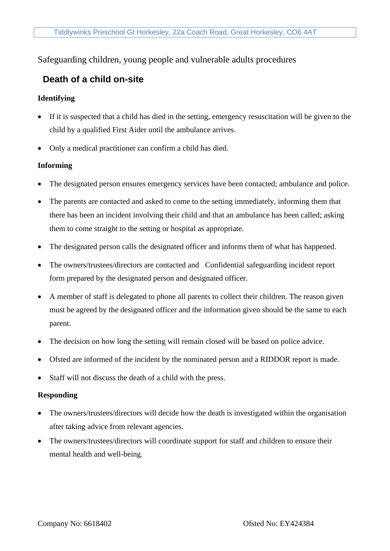# Safeguarding children, young people and vulnerable adults procedures

# **Death of a child on-site**

## **Identifying**

- If it is suspected that a child has died in the setting, emergency resuscitation will be given to the child by a qualified First Aider until the ambulance arrives.
- Only a medical practitioner can confirm a child has died.

### **Informing**

- The designated person ensures emergency services have been contacted; ambulance and police.
- The parents are contacted and asked to come to the setting immediately, informing them that there has been an incident involving their child and that an ambulance has been called; asking them to come straight to the setting or hospital as appropriate.
- The designated person calls the designated officer and informs them of what has happened.
- The owners/trustees/directors are contacted and Confidential safeguarding incident report form prepared by the designated person and designated officer.
- A member of staff is delegated to phone all parents to collect their children. The reason given must be agreed by the designated officer and the information given should be the same to each parent.
- The decision on how long the setting will remain closed will be based on police advice.
- Ofsted are informed of the incident by the nominated person and a RIDDOR report is made.
- Staff will not discuss the death of a child with the press.

### **Responding**

- The owners/trustees/directors will decide how the death is investigated within the organisation after taking advice from relevant agencies.
- The owners/trustees/directors will coordinate support for staff and children to ensure their mental health and well-being.